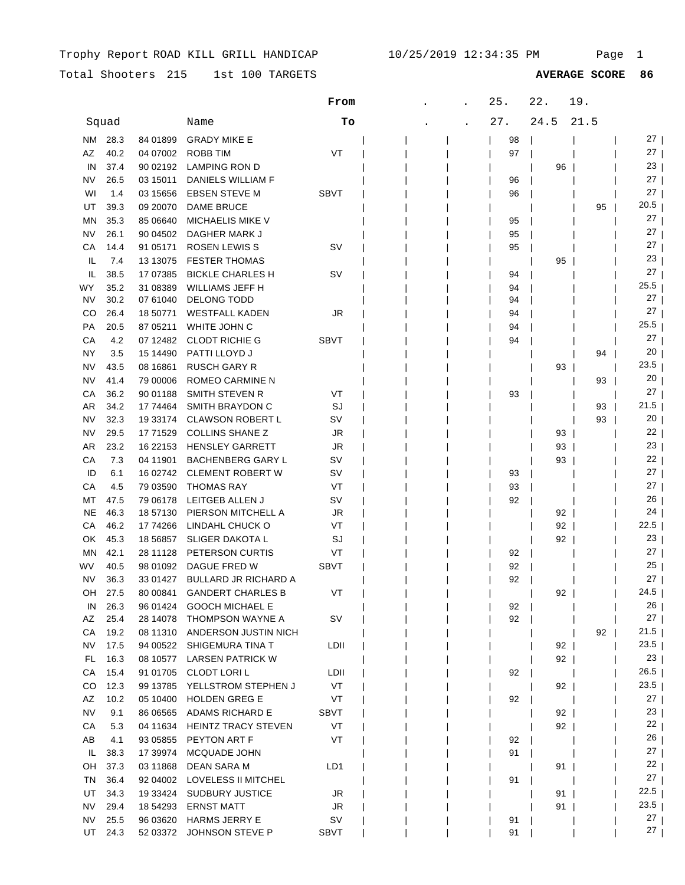Total Shooters 215 1st 100 TARGETS

|           |       |            |                             | From        |  | 25. | 22.  | 19.  |                 |
|-----------|-------|------------|-----------------------------|-------------|--|-----|------|------|-----------------|
|           | Squad |            | Name                        | Τо          |  | 27. | 24.5 | 21.5 |                 |
| NM        | 28.3  | 84 01899   | <b>GRADY MIKE E</b>         |             |  | 98  |      |      | 27              |
| AZ        | 40.2  | 04 07002   | <b>ROBB TIM</b>             | VT          |  | 97  |      |      | $27 \mid$       |
| IN        | 37.4  | 90 02192   | <b>LAMPING RON D</b>        |             |  |     | 96   |      | 23              |
| NV        | 26.5  | 03 15011   | <b>DANIELS WILLIAM F</b>    |             |  | 96  |      |      | 27              |
| WI        | 1.4   | 03 15 65 6 | <b>EBSEN STEVE M</b>        | <b>SBVT</b> |  | 96  |      |      | 27              |
| UT        | 39.3  | 09 20070   | <b>DAME BRUCE</b>           |             |  |     |      | 95   | 20.5            |
| ΜN        | 35.3  | 85 06640   | MICHAELIS MIKE V            |             |  | 95  |      |      | 27              |
| NV        | 26.1  | 90 04502   | DAGHER MARK J               |             |  | 95  |      |      | 27              |
| CА        | 14.4  | 91 05171   | <b>ROSEN LEWIS S</b>        | SV          |  | 95  |      |      | 27              |
| IL        | 7.4   | 13 13 075  | <b>FESTER THOMAS</b>        |             |  |     | 95   |      | 23              |
| IL        | 38.5  | 17 07 385  | <b>BICKLE CHARLES H</b>     | sv          |  | 94  |      |      | 27              |
| WY        | 35.2  | 31 08389   | <b>WILLIAMS JEFF H</b>      |             |  | 94  |      |      | 25.5            |
| <b>NV</b> | 30.2  | 07 61040   | <b>DELONG TODD</b>          |             |  | 94  |      |      | 27              |
| CO        | 26.4  | 18 50771   | <b>WESTFALL KADEN</b>       | JR          |  | 94  |      |      | 27              |
| РA        | 20.5  | 87 05211   | WHITE JOHN C                |             |  | 94  |      |      | 25.5            |
| CА        | 4.2   | 07 12482   | <b>CLODT RICHIE G</b>       | <b>SBVT</b> |  | 94  |      |      | 27              |
| ΝY        | 3.5   | 15 14490   | PATTI LLOYD J               |             |  |     |      | 94   | 20              |
| NV        | 43.5  | 08 16861   | <b>RUSCH GARY R</b>         |             |  |     | 93   |      | 23.5            |
| NV        | 41.4  | 79 00006   | ROMEO CARMINE N             |             |  |     |      | 93   | 20              |
| CА        | 36.2  | 90 01188   | SMITH STEVEN R              | VT          |  | 93  |      |      | 27              |
| AR        | 34.2  | 17 74464   | SMITH BRAYDON C             | SJ          |  |     |      | 93   | 21.5            |
| NV        | 32.3  | 19 33174   | <b>CLAWSON ROBERT L</b>     | S٧          |  |     |      | 93   | 20 <sub>1</sub> |
| NV        | 29.5  | 17 71529   | <b>COLLINS SHANE Z</b>      | JR          |  |     | 93   |      | 22              |
| AR        | 23.2  | 16 22153   | <b>HENSLEY GARRETT</b>      | JR          |  |     | 93   |      | 23              |
| CА        | 7.3   | 04 11901   | <b>BACHENBERG GARY L</b>    | S٧          |  |     | 93   |      | 22              |
| ID        | 6.1   | 16 02742   | <b>CLEMENT ROBERT W</b>     | S٧          |  | 93  |      |      | 27              |
| СA        | 4.5   | 79 03590   | <b>THOMAS RAY</b>           | VT          |  | 93  |      |      | $27 \mid$       |
| МT        | 47.5  | 79 06178   | LEITGEB ALLEN J             | S٧          |  | 92  |      |      | 26              |
| <b>NE</b> | 46.3  | 18 57130   | PIERSON MITCHELL A          | JR          |  |     | 92   |      | 24              |
| СA        | 46.2  | 17 74266   | LINDAHL CHUCK O             | VT          |  |     | 92   |      | 22.5            |
| OK        | 45.3  | 18 5 68 57 | SLIGER DAKOTA L             | SJ          |  |     | 92   |      | 23              |
| ΜN        | 42.1  | 28 11128   | PETERSON CURTIS             | VT          |  | 92  |      |      | 27              |
| WV        | 40.5  | 98 01092   | DAGUE FRED W                | <b>SBVT</b> |  | 92  |      |      | 25              |
| NV        | 36.3  | 33 01427   | <b>BULLARD JR RICHARD A</b> |             |  | 92  |      |      | 27              |
| OН        | 27.5  | 80 00841   | <b>GANDERT CHARLES B</b>    | VT          |  |     | 92   |      | 24.5            |
| IN        | 26.3  | 96 01424   | <b>GOOCH MICHAEL E</b>      |             |  | 92  |      |      | 26              |
| AZ        | 25.4  | 28 14078   | THOMPSON WAYNE A            | SV          |  | 92  |      |      | 27              |
| СA        | 19.2  | 08 11310   | ANDERSON JUSTIN NICH        |             |  |     |      | 92   | 21.5            |
| NV        | 17.5  | 94 00522   | SHIGEMURA TINA T            | LDII        |  |     | 92   |      | 23.5            |
| FL.       | 16.3  | 08 10577   | <b>LARSEN PATRICK W</b>     |             |  |     | 92   |      | 23              |
| CA        | 15.4  | 91 01705   | <b>CLODT LORIL</b>          | LDII        |  | 92  |      |      | 26.5            |
| CO        | 12.3  | 99 13785   | YELLSTROM STEPHEN J         | VT          |  |     | 92   |      | 23.5            |
| AZ        | 10.2  | 05 10400   | <b>HOLDEN GREG E</b>        | VT          |  | 92  |      |      | $27 \mid$       |
| <b>NV</b> | 9.1   | 86 06565   | ADAMS RICHARD E             | SBVT        |  |     | 92   |      | 23              |
| СA        | 5.3   | 04 11634   | <b>HEINTZ TRACY STEVEN</b>  | VT          |  |     | 92   |      | 22 <sub>1</sub> |
| AB        | 4.1   | 93 05855   | PEYTON ART F                | VT          |  | 92  |      |      | 26              |
| IL.       | 38.3  | 17 39974   | MCQUADE JOHN                |             |  | 91  |      |      | 27              |
| OH        | 37.3  | 03 11868   | DEAN SARA M                 | LD1         |  |     | 91   |      | 22              |
| TN        | 36.4  | 92 04002   | LOVELESS II MITCHEL         |             |  | 91  |      |      | 27 <sub>1</sub> |
| UT        | 34.3  | 19 33424   | <b>SUDBURY JUSTICE</b>      | JR          |  |     | 91   |      | 22.5            |
| NV        | 29.4  | 18 54293   | <b>ERNST MATT</b>           | JR          |  |     | 91   |      | 23.5            |
| NV.       | 25.5  | 96 03620   | <b>HARMS JERRY E</b>        | sv          |  | 91  |      |      | 27 <sub>1</sub> |
| UT        | 24.3  | 52 03372   | JOHNSON STEVE P             | <b>SBVT</b> |  | 91  |      |      | 27 <sub>1</sub> |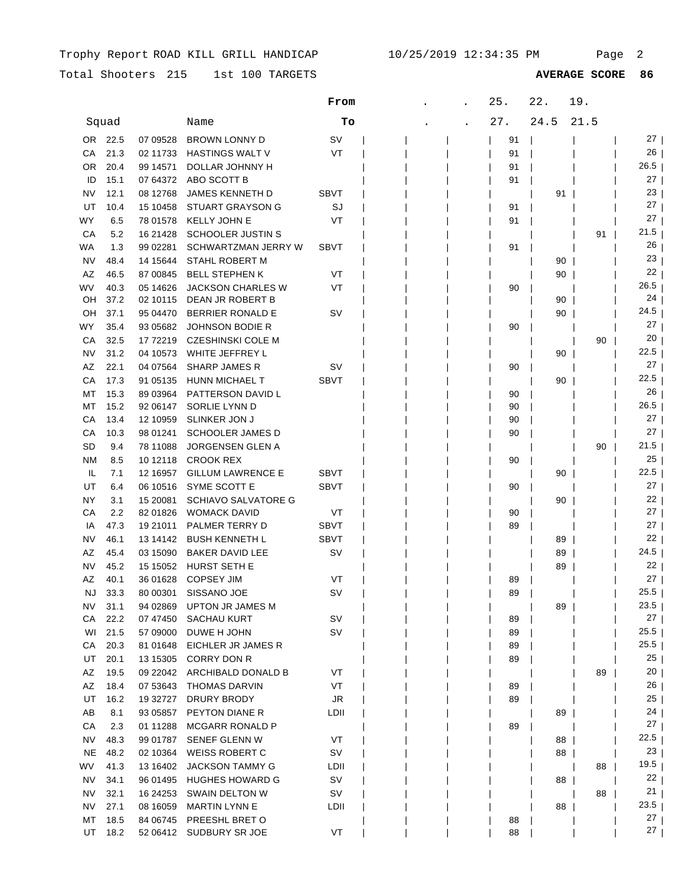Total Shooters 215 1st 100 TARGETS

1st 100 TARGETS **AVERAGE SCORE 86**

|           |              |                      |                                        | From        | 25.      | 22.  | 19.  |                         |
|-----------|--------------|----------------------|----------------------------------------|-------------|----------|------|------|-------------------------|
|           | Squad        |                      | Name                                   | To          | 27.      | 24.5 | 21.5 |                         |
|           | OR 22.5      | 07 09528             | <b>BROWN LONNY D</b>                   | sv          | 91       |      |      | $27 \mid$               |
| СA        | 21.3         | 02 11733             | <b>HASTINGS WALT V</b>                 | VT          | 91       |      |      | $26$                    |
| OR.       | 20.4         | 99 14571             | DOLLAR JOHNNY H                        |             | 91       |      |      | 26.5                    |
| ID        | 15.1         | 07 64372             | ABO SCOTT B                            |             | 91       |      |      | 27 <sub>1</sub>         |
| NV        | 12.1         | 08 12768             | JAMES KENNETH D                        | SBVT        |          | 91   |      | 23                      |
| UT        | 10.4         | 15 10458             | <b>STUART GRAYSON G</b>                | SJ          | 91       |      |      | 27                      |
| <b>WY</b> | 6.5          | 78 01578             | <b>KELLY JOHN E</b>                    | VT          | 91       |      |      | 27                      |
| CA        | 5.2          | 16 21428             | <b>SCHOOLER JUSTIN S</b>               |             |          |      | 91   | 21.5                    |
| WA        | 1.3          | 99 02281             | SCHWARTZMAN JERRY W                    | <b>SBVT</b> | 91       |      |      | 26                      |
| <b>NV</b> | 48.4         | 14 15 644            | <b>STAHL ROBERT M</b>                  |             |          | 90   |      | 23                      |
| AZ        | 46.5         | 87 00845             | <b>BELL STEPHEN K</b>                  | VT          |          | 90   |      | 22                      |
| <b>WV</b> | 40.3         | 05 14626             | <b>JACKSON CHARLES W</b>               | VT          | 90       |      |      | 26.5                    |
| OН        | 37.2         | 02 10115             | DEAN JR ROBERT B                       |             |          | 90   |      | 24                      |
| OH        | 37.1         | 95 04470             | <b>BERRIER RONALD E</b>                | S٧          |          | 90   |      | 24.5                    |
| WY        | 35.4         | 93 05 682            | <b>JOHNSON BODIE R</b>                 |             | 90       |      |      | 27                      |
| CA        | 32.5         | 17 72219             | <b>CZESHINSKI COLE M</b>               |             |          |      | 90   | 20                      |
| <b>NV</b> | 31.2         | 04 10573             | WHITE JEFFREY L                        |             |          | 90   |      | 22.5                    |
| AZ        | 22.1         | 04 07564             | <b>SHARP JAMES R</b>                   | S٧          | 90       |      |      | 27                      |
| СA        | 17.3         | 91 05135             | HUNN MICHAEL T                         | <b>SBVT</b> |          | 90   |      | 22.5                    |
| МT        | 15.3         | 89 03964             | PATTERSON DAVID L                      |             | 90       |      |      | 26                      |
| МT        | 15.2         | 92 06147             | SORLIE LYNN D                          |             | 90       |      |      | 26.5                    |
| СA        | 13.4         | 12 10959             | SLINKER JON J                          |             | 90       |      |      | 27                      |
| СA        | 10.3         | 98 01241             | <b>SCHOOLER JAMES D</b>                |             | 90       |      |      | 27 <sub>1</sub>         |
| <b>SD</b> | 9.4          | 78 11088             | <b>JORGENSEN GLEN A</b>                |             |          |      | 90   | $21.5$                  |
| <b>NM</b> | 8.5          | 10 12118             | <b>CROOK REX</b>                       |             | 90       |      |      | 25                      |
| IL        | 7.1          | 12 16957             | <b>GILLUM LAWRENCE E</b>               | <b>SBVT</b> |          | 90   |      | 22.5                    |
| UT        | 6.4          | 06 10516             | SYME SCOTT E                           | <b>SBVT</b> | 90       |      |      | 27 <sub>1</sub>         |
| ΝY        | 3.1          | 15 20081             | <b>SCHIAVO SALVATORE G</b>             |             |          | 90   |      | 22 <sub>1</sub>         |
| СA        | 2.2          | 82 01826             | <b>WOMACK DAVID</b>                    | VT          | 90       |      |      | 27                      |
| IA        | 47.3         | 19 21011             | PALMER TERRY D                         | <b>SBVT</b> | 89       |      |      | 27                      |
| <b>NV</b> | 46.1         | 13 14 14 2           | <b>BUSH KENNETH L</b>                  | <b>SBVT</b> |          | 89   |      | 22                      |
| AZ        | 45.4         | 03 15090             | <b>BAKER DAVID LEE</b>                 | S٧          |          | 89   |      | 24.5                    |
| <b>NV</b> | 45.2         | 15 15 05 2           | <b>HURST SETH E</b>                    |             |          | 89   |      | 22                      |
| AZ        | 40.1         | 36 01628             | <b>COPSEY JIM</b>                      | VT          | 89       |      |      | 27                      |
| NJ        | 33.3         |                      | 80 00301 SISSANO JOE                   | <b>SV</b>   | 89       |      |      | 25.5                    |
| NV.       | 31.1         | 94 02869             | <b>UPTON JR JAMES M</b>                |             |          | 89   |      | $23.5$                  |
| СA        | 22.2         | 07 47450             | <b>SACHAU KURT</b>                     | SV          | 89       |      |      | 27<br>$25.5$            |
| WI        | 21.5         | 57 09000             | DUWE H JOHN                            | sv          | 89       |      |      | 25.5                    |
| СA        | 20.3         | 81 01 648            | EICHLER JR JAMES R                     |             | 89       |      |      | 25                      |
| UT        | 20.1         | 13 15305             | CORRY DON R                            |             | 89       |      |      | 20 <sub>1</sub>         |
| AZ        | 19.5         | 09 22042             | ARCHIBALD DONALD B                     | VT          |          |      | 89   | 26                      |
| AZ        | 18.4         | 07 53643             | <b>THOMAS DARVIN</b>                   | VT          | 89       |      |      | 25                      |
| UT        | 16.2         | 19 32727             | DRURY BRODY                            | JR          | 89       |      |      |                         |
| AB        | 8.1          | 93 05857             | PEYTON DIANE R                         | LDII        |          | 89   |      | 24 I<br>27 <sub>1</sub> |
| CA        | 2.3          | 01 11288             | <b>MCGARR RONALD P</b>                 |             | 89       |      |      | 22.5                    |
| <b>NV</b> | 48.3         | 99 01787             | <b>SENEF GLENN W</b>                   | VT          |          | 88   |      | 23 <sub>1</sub>         |
| <b>NE</b> | 48.2         | 02 10364             | <b>WEISS ROBERT C</b>                  | sv          |          | 88   |      | 19.5                    |
| WV        | 41.3         | 13 16402             | JACKSON TAMMY G                        | LDII        |          |      | 88   | 22 <sub>1</sub>         |
| <b>NV</b> | 34.1         | 96 01495             | <b>HUGHES HOWARD G</b>                 | sv          |          | 88   |      | 21 <sub>1</sub>         |
| <b>NV</b> | 32.1         | 16 24 25 3           | SWAIN DELTON W                         | sv          |          |      | 88   | 23.5                    |
| <b>NV</b> | 27.1         | 08 16059             | <b>MARTIN LYNN E</b><br>PREESHL BRET O | LDII        |          | 88   |      | 27 <sub>1</sub>         |
| МT<br>UT  | 18.5<br>18.2 | 84 06745<br>52 06412 | SUDBURY SR JOE                         | VT          | 88<br>88 |      |      | 27                      |
|           |              |                      |                                        |             |          |      |      |                         |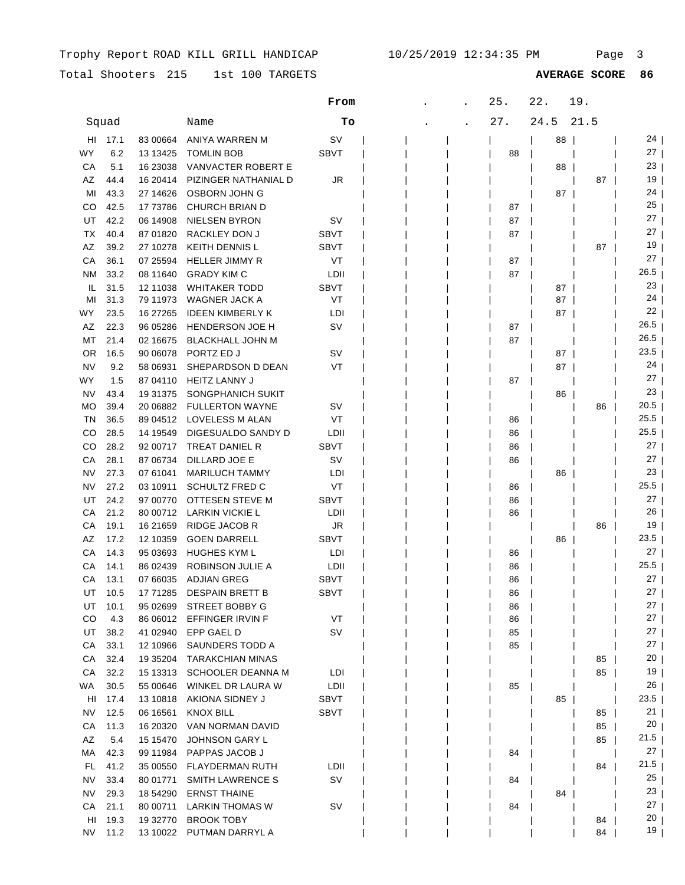Total Shooters 215 1st 100 TARGETS **AVERAGE SCORE 86**

|           |       |            |                           | From        |  | 25. | 22.  | 19.  |                 |
|-----------|-------|------------|---------------------------|-------------|--|-----|------|------|-----------------|
|           | Squad |            | Name                      | To          |  | 27. | 24.5 | 21.5 |                 |
| HL        | 17.1  | 83 00664   | ANIYA WARREN M            | SV          |  |     | 88   |      | 24 I            |
| WY        | 6.2   | 13 13 425  | <b>TOMLIN BOB</b>         | <b>SBVT</b> |  | 88  |      |      | 27 <sub>1</sub> |
| СA        | 5.1   | 16 23038   | <b>VANVACTER ROBERT E</b> |             |  |     | 88   |      | 23              |
| AZ        | 44.4  | 16 20414   | PIZINGER NATHANIAL D      | JR          |  |     |      | 87   | 19              |
| MI        | 43.3  | 27 14 62 6 | OSBORN JOHN G             |             |  |     | 87   |      | 24              |
| CO        | 42.5  | 17 73786   | CHURCH BRIAN D            |             |  | 87  |      |      | 25              |
| UT        | 42.2  | 06 14908   | <b>NIELSEN BYRON</b>      | sv          |  | 87  |      |      | 27              |
| ТX        | 40.4  | 87 01820   | RACKLEY DON J             | <b>SBVT</b> |  | 87  |      |      | 27              |
| AZ        | 39.2  | 27 10278   | <b>KEITH DENNIS L</b>     | <b>SBVT</b> |  |     |      | 87   | 19              |
| СA        | 36.1  | 07 25594   | <b>HELLER JIMMY R</b>     | VT          |  | 87  |      |      | 27              |
| <b>NM</b> | 33.2  | 08 11 640  | <b>GRADY KIM C</b>        | LDII        |  | 87  |      |      | 26.5            |
| IL        | 31.5  | 12 11038   | WHITAKER TODD             | <b>SBVT</b> |  |     | 87   |      | 23              |
| MI        | 31.3  | 79 11973   | WAGNER JACK A             | VT          |  |     | 87   |      | 24              |
| WY.       | 23.5  | 16 27 265  | <b>IDEEN KIMBERLY K</b>   | LDI         |  |     | 87   |      | 22              |
| AZ        | 22.3  | 96 05286   | HENDERSON JOE H           | S٧          |  | 87  |      |      | 26.5            |
| МT        | 21.4  | 02 16675   | <b>BLACKHALL JOHN M</b>   |             |  | 87  |      |      | 26.5            |
| OR        | 16.5  | 90 06078   | PORTZ ED J                | sv          |  |     | 87   |      | 23.5            |
| NV        | 9.2   | 58 06931   | SHEPARDSON D DEAN         | VT          |  |     | 87   |      | 24              |
| WY        | 1.5   | 87 04110   | <b>HEITZ LANNY J</b>      |             |  | 87  |      |      | 27              |
| NV        | 43.4  | 19 31 375  | SONGPHANICH SUKIT         |             |  |     | 86   |      | 23 <sub>1</sub> |
| МO        | 39.4  | 20 06882   | <b>FULLERTON WAYNE</b>    | sv          |  |     |      | 86   | 20.5            |
| TN        | 36.5  | 89 04512   | LOVELESS M ALAN           | VT          |  | 86  |      |      | $25.5$          |
| CO        | 28.5  | 14 19549   | DIGESUALDO SANDY D        | LDII        |  | 86  |      |      | $25.5$          |
| CO        | 28.2  | 92 00717   | TREAT DANIEL R            | <b>SBVT</b> |  | 86  |      |      | $27 \mid$       |
| СA        | 28.1  | 87 06734   | DILLARD JOE E             | S٧          |  | 86  |      |      | $27 \mid$       |
| NV        | 27.3  | 07 61041   | <b>MARILUCH TAMMY</b>     | LDI         |  |     | 86   |      | 23              |
| NV        | 27.2  | 03 10911   | <b>SCHULTZ FRED C</b>     | VT          |  | 86  |      |      | $25.5$          |
| UT        | 24.2  | 97 00770   | OTTESEN STEVE M           | <b>SBVT</b> |  | 86  |      |      | 27 <sub>1</sub> |
| СA        | 21.2  | 80 00712   | LARKIN VICKIE L           | LDII        |  | 86  |      |      | 26              |
| СA        | 19.1  | 16 21 659  | RIDGE JACOB R             | JR          |  |     |      | 86   | 19 <sup>1</sup> |
| AZ        | 17.2  | 12 10359   | <b>GOEN DARRELL</b>       | <b>SBVT</b> |  |     | 86   |      | 23.5            |
| СA        | 14.3  | 95 03693   | <b>HUGHES KYM L</b>       | LDI         |  | 86  |      |      | 27              |
| СA        | 14.1  | 86 02439   | ROBINSON JULIE A          | LDII        |  | 86  |      |      | $25.5$          |
| СA        | 13.1  | 07 66035   | <b>ADJIAN GREG</b>        | <b>SBVT</b> |  | 86  |      |      | 27              |
| UT        | 10.5  |            | 17 71285 DESPAIN BRETT B  | <b>SBVT</b> |  | 86  |      |      | $27 \mid$       |
| UT        | 10.1  | 95 02699   | <b>STREET BOBBY G</b>     |             |  | 86  |      |      | 27 <sub>1</sub> |
| CO        | 4.3   | 86 06012   | EFFINGER IRVIN F          | VT          |  | 86  |      |      | $27 \mid$       |
| UT        | 38.2  | 41 02940   | EPP GAEL D                | S٧          |  | 85  |      |      | $27 \mid$       |
| CA        | 33.1  | 12 10966   | SAUNDERS TODD A           |             |  | 85  |      |      | $27 \mid$       |
| CA        | 32.4  | 19 35 204  | <b>TARAKCHIAN MINAS</b>   |             |  |     |      | 85   | 20 <sub>1</sub> |
| CA        | 32.2  | 15 13313   | SCHOOLER DEANNA M         | LDI         |  |     |      | 85   | 19              |
| WA.       | 30.5  | 55 00646   | WINKEL DR LAURA W         | LDII        |  | 85  |      |      | 26              |
| HI        | 17.4  | 13 10 818  | AKIONA SIDNEY J           | SBVT        |  |     | 85   |      | $23.5$          |
| NV        | 12.5  | 06 16561   | <b>KNOX BILL</b>          | <b>SBVT</b> |  |     |      | 85   | 21 I            |
| СA        | 11.3  | 16 20320   | VAN NORMAN DAVID          |             |  |     |      | 85   | 20 <sub>1</sub> |
| AZ        | 5.4   | 15 15 470  | JOHNSON GARY L            |             |  |     |      | 85   | ∣ 21.5          |
| МA        | 42.3  | 99 11984   | PAPPAS JACOB J            |             |  | 84  |      |      | 27              |
| FL.       | 41.2  | 35 00550   | FLAYDERMAN RUTH           | LDII        |  |     |      | 84   | 21.5            |
| <b>NV</b> | 33.4  | 80 01771   | <b>SMITH LAWRENCE S</b>   | SV          |  | 84  |      |      | 25              |
| NV        | 29.3  | 18 54290   | <b>ERNST THAINE</b>       |             |  |     | 84   |      | 23 <sub>1</sub> |
| СA        | 21.1  | 80 00711   | <b>LARKIN THOMAS W</b>    | sv          |  | 84  |      |      | 27 <sub>1</sub> |
| HI        | 19.3  | 19 32770   | <b>BROOK TOBY</b>         |             |  |     |      | 84   | 20              |
| NV        | 11.2  | 13 10022   | PUTMAN DARRYL A           |             |  |     |      | 84   | 19 <sub>1</sub> |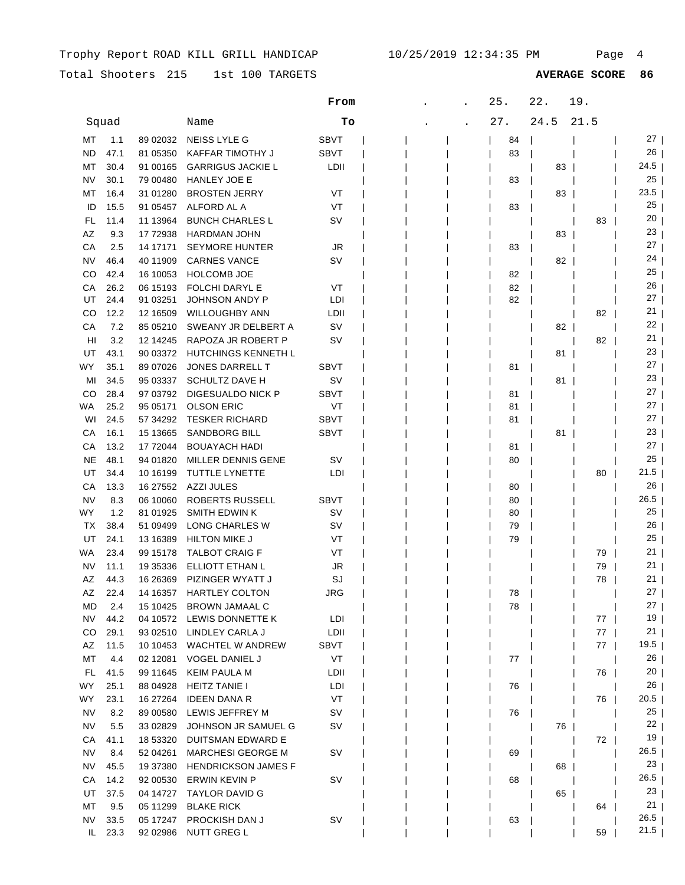Total Shooters 215 1st 100 TARGETS **AVERAGE SCORE 86**

|                 |            |                       |                                        | From        |  | 25. | 22.  | 19.  |                     |
|-----------------|------------|-----------------------|----------------------------------------|-------------|--|-----|------|------|---------------------|
|                 | Squad      |                       | Name                                   | To          |  | 27. | 24.5 | 21.5 |                     |
| МT              | 1.1        | 89 02032              | NEISS LYLE G                           | <b>SBVT</b> |  | 84  |      |      | 27 I                |
| ND              | 47.1       | 81 05350              | KAFFAR TIMOTHY J                       | <b>SBVT</b> |  | 83  |      |      | 26                  |
| МT              | 30.4       | 91 00165              | <b>GARRIGUS JACKIE L</b>               | LDII        |  |     | 83   |      | 24.5                |
| NV              | 30.1       | 79 00480              | <b>HANLEY JOE E</b>                    |             |  | 83  |      |      | 25                  |
| МT              | 16.4       | 31 01280              | <b>BROSTEN JERRY</b>                   | VT          |  |     | 83   |      | 23.5                |
| ID              | 15.5       | 91 05457              | ALFORD AL A                            | VT          |  | 83  |      |      | 25                  |
| FL              | 11.4       | 11 13964              | <b>BUNCH CHARLES L</b>                 | SV          |  |     |      | 83   | 20                  |
| AZ              | 9.3        | 17 72938              | <b>HARDMAN JOHN</b>                    |             |  |     | 83   |      | 23                  |
| СA              | 2.5        | 14 17 17 1            | <b>SEYMORE HUNTER</b>                  | JR          |  | 83  |      |      | 27                  |
| ΝV              | 46.4       | 40 11909              | <b>CARNES VANCE</b>                    | <b>SV</b>   |  |     | 82   |      | 24                  |
| CO              | 42.4       | 16 10053              | <b>HOLCOMB JOE</b>                     |             |  | 82  |      |      | 25                  |
| СA              | 26.2       | 06 15193              | <b>FOLCHI DARYL E</b>                  | VT          |  | 82  |      |      | 26                  |
| UT              | 24.4       | 91 03251              | JOHNSON ANDY P                         | LDI         |  | 82  |      |      | 27                  |
| CO              | 12.2       | 12 16509              | <b>WILLOUGHBY ANN</b>                  | LDII        |  |     |      | 82   | 21                  |
| СA              | 7.2        | 85 05210              | SWEANY JR DELBERT A                    | sv          |  |     | 82   |      | 22                  |
| HI              | 3.2        | 12 14 24 5            | RAPOZA JR ROBERT P                     | sv          |  |     |      | 82   | 21                  |
| UT              | 43.1       | 90 03372              | <b>HUTCHINGS KENNETH L</b>             |             |  |     | 81   |      | 23                  |
| WY              | 35.1       | 89 07026              | JONES DARRELL T                        | <b>SBVT</b> |  | 81  |      |      | 27                  |
| MI              | 34.5       | 95 03337              | SCHULTZ DAVE H                         | SV          |  |     | 81   |      | 23                  |
| CO              | 28.4       | 97 03792              | DIGESUALDO NICK P                      | <b>SBVT</b> |  | 81  |      |      | ا 27                |
| WA              | 25.2       | 95 05171              | <b>OLSON ERIC</b>                      | VT          |  | 81  |      |      | 27 <sub>1</sub>     |
| WI              | 24.5       | 57 34 29 2            | <b>TESKER RICHARD</b>                  | <b>SBVT</b> |  | 81  |      |      | 27 <sub>1</sub>     |
| СA              | 16.1       | 15 13665              | <b>SANDBORG BILL</b>                   | <b>SBVT</b> |  |     | 81   |      | 23                  |
| СA              | 13.2       | 17 72044              | <b>BOUAYACH HADI</b>                   |             |  | 81  |      |      | 27 <sub>1</sub>     |
| NE              | 48.1       | 94 01820              | MILLER DENNIS GENE                     | sv          |  | 80  |      |      | 25 <sub>1</sub>     |
| UT              | 34.4       | 10 16 199             | TUTTLE LYNETTE                         | LDI         |  |     |      | 80   | 21.5                |
| СA              | 13.3       | 16 27 552             | AZZI JULES                             |             |  | 80  |      |      | 26                  |
| NV              | 8.3        | 06 10060              | ROBERTS RUSSELL                        | <b>SBVT</b> |  | 80  |      |      | 26.5                |
| WY              | 1.2        | 81 01925              | SMITH EDWIN K                          | SV          |  | 80  |      |      | 25                  |
| ТX              | 38.4       | 51 09499              | LONG CHARLES W                         | SV          |  | 79  |      |      | 26                  |
| UT              | 24.1       | 13 16 38 9            | <b>HILTON MIKE J</b>                   | VT          |  | 79  |      |      | 25                  |
| WA              | 23.4       | 99 15178              | <b>TALBOT CRAIG F</b>                  | VT          |  |     |      | 79   | 21                  |
| NV              | 11.1       | 19 35336              | ELLIOTT ETHAN L                        | JR          |  |     |      | 79   | 21                  |
| AZ              | 44.3       | 16 26 369             | PIZINGER WYATT J                       | SJ          |  |     |      | 78   | ا 21                |
| AZ              | 22.4       | 14 16357              | <b>HARTLEY COLTON</b>                  | JRG         |  | 78  |      |      | 27 <sub>1</sub>     |
| MD              | 2.4        | 15 10425              | <b>BROWN JAMAAL C</b>                  |             |  | 78  |      |      | 27                  |
| <b>NV</b>       | 44.2       | 04 10572              | LEWIS DONNETTE K                       | LDI         |  |     |      | 77   | 19                  |
| CO              | 29.1       | 93 02510              | LINDLEY CARLA J                        | LDII        |  |     |      | 77   | $21 \mid$<br>$19.5$ |
| AZ              | 11.5       | 10 10 453             | WACHTEL W ANDREW                       | SBVT        |  |     |      | 77   | $26 \mid$           |
| MT              | 4.4        | 02 12081              | <b>VOGEL DANIEL J</b>                  | VT          |  | 77  |      |      | 20 <sub>1</sub>     |
| <b>FL</b><br>WY | 41.5       | 99 11 645<br>88 04928 | <b>KEIM PAULA M</b>                    | LDII        |  |     |      | 76   | 26                  |
|                 | 25.1       |                       | <b>HEITZ TANIE I</b>                   | LDI<br>VT   |  | 76  |      |      | $20.5$              |
| WY.             | 23.1       | 16 27 264             | <b>IDEEN DANA R</b>                    | SV          |  |     |      | 76   | 25                  |
| NV<br><b>NV</b> | 8.2<br>5.5 | 89 00580<br>33 02829  | LEWIS JEFFREY M<br>JOHNSON JR SAMUEL G | SV          |  | 76  | 76   |      | 22 <sub>1</sub>     |
| CA              | 41.1       | 18 53320              | DUITSMAN EDWARD E                      |             |  |     |      | 72   | 19 <sub>l</sub>     |
| NV              | 8.4        | 52 04261              | <b>MARCHESI GEORGE M</b>               | <b>SV</b>   |  | 69  |      |      | 26.5                |
| <b>NV</b>       | 45.5       | 19 37 380             | <b>HENDRICKSON JAMES F</b>             |             |  |     | 68   |      | 23 <sub>1</sub>     |
| CA              | 14.2       | 92 00530              | ERWIN KEVIN P                          | SV          |  | 68  |      |      | $26.5$              |
| UT              | 37.5       | 04 14727              | <b>TAYLOR DAVID G</b>                  |             |  |     | 65   |      | 23 <sub>1</sub>     |
| МT              | 9.5        | 05 11299              | <b>BLAKE RICK</b>                      |             |  |     |      | 64   | 21 <sub>1</sub>     |
| NV              | 33.5       | 05 17247              | PROCKISH DAN J                         | <b>SV</b>   |  | 63  |      |      | $26.5$              |
| IL.             | 23.3       | 92 02986              | NUTT GREG L                            |             |  |     |      | 59   | 21.5 <sub>1</sub>   |
|                 |            |                       |                                        |             |  |     |      |      |                     |